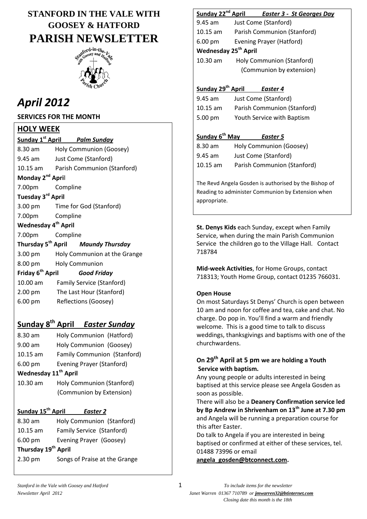# **STANFORD IN THE VALE WITH GOOSEY & HATFORD PARISH NEWSLETTER**



# *April 2012*

### **SERVICES FOR THE MONTH**

### **HOLY WEEK**

Sunday 1<sup>st</sup> April **Palm Sunday** 8.30 am Holy Communion (Goosey) 9.45 am Just Come (Stanford) 10.15 am Parish Communion (Stanford) **Monday 2nd Apri**l 7.00pm Compline **Tuesday 3rd April** 3.00 pm Time for God (Stanford) 7.00pm Compline **Wednesday 4th April** 7.00pm Compline **Thursday 5th April** *Maundy Thursday* 3.00 pm Holy Communion at the Grange 8.00 pm Holy Communion **Friday 6 th April** *Good Friday* 10.00 am Family Service (Stanford) 2.00 pm The Last Hour (Stanford) 6.00 pm Reflections (Goosey) **Sunday 8th April** *Easter Sunday* 8.30 am Holy Communion (Hatford) 9.00 am Holy Communion (Goosey) 10.15 am Family Communion (Stanford) 6.00 pm Evening Prayer (Stanford) **Wednesday 11th April**  10.30 am Holy Communion (Stanford) (Communion by Extension) **Sunday 15th April** *Easter 2* 8.30 am Holy Communion (Stanford) 10.15 am Family Service (Stanford) 6.00 pm Evening Prayer (Goosey) **Thursday 19th April**

2.30 pm Songs of Praise at the Grange

### **Sunday 22nd April** *Easter 3 - St Georges Day*

9.45 am Just Come (Stanford) 10.15 am Parish Communion (Stanford) 6.00 pm Evening Prayer (Hatford) **Wednesday 25th April** 10.30 am Holy Communion (Stanford) (Communion by extension)

### **Sunday 29th April** *Easter 4*

9.45 am Just Come (Stanford) 10.15 am Parish Communion (Stanford) 5.00 pm Youth Service with Baptism

### **Sunday 6th May** *Easter 5*

| 8.30 am    | Holy Communion (Goosey)     |
|------------|-----------------------------|
| 9.45 am    | Just Come (Stanford)        |
| $10.15$ am | Parish Communion (Stanford) |

The Revd Angela Gosden is authorised by the Bishop of Reading to administer Communion by Extension when appropriate.

**St. Denys Kids** each Sunday, except when Family Service, when during the main Parish Communion Service the children go to the Village Hall. Contact 718784

**Mid-week Activities**, for Home Groups, contact 718313; Youth Home Group, contact 01235 766031.

### **Open House**

On most Saturdays St Denys' Church is open between 10 am and noon for coffee and tea, cake and chat. No charge. Do pop in. You'll find a warm and friendly welcome. This is a good time to talk to discuss weddings, thanksgivings and baptisms with one of the churchwardens.

### **On 29th April at 5 pm we are holding a Youth Service with baptism.**

Any young people or adults interested in being baptised at this service please see Angela Gosden as soon as possible.

There will also be a **Deanery Confirmation service led by Bp Andrew in Shrivenham on 13th June at 7.30 pm** and Angela will be running a preparation course for this after Easter.

Do talk to Angela if you are interested in being baptised or confirmed at either of these services, tel. 01488 73996 or email

**[angela\\_gosden@btconnect.com.](mailto:angela_gosden@btconnect.com)**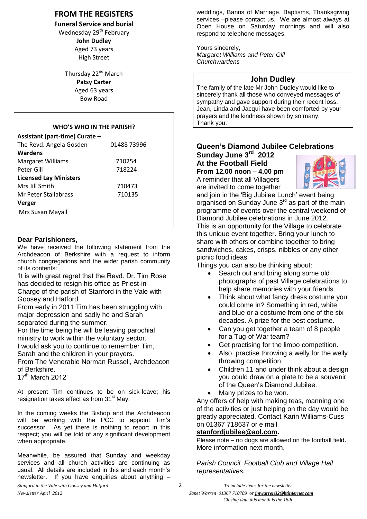### **FROM THE REGISTERS**

#### **Funeral Service and burial**

Wednesday 29<sup>th</sup> February

**John Dudley** Aged 73 years High Street

Thursday 22<sup>nd</sup> March **Patsy Carter** Aged 63 years Bow Road

#### **WHO'S WHO IN THE PARISH?**

| Assistant (part-time) Curate - |             |  |  |
|--------------------------------|-------------|--|--|
| The Revd. Angela Gosden        | 01488 73996 |  |  |
| <b>Wardens</b>                 |             |  |  |
| <b>Margaret Williams</b>       | 710254      |  |  |
| Peter Gill                     | 718224      |  |  |
| <b>Licensed Lay Ministers</b>  |             |  |  |
| Mrs Iill Smith                 | 710473      |  |  |
| Mr Peter Stallabrass           | 710135      |  |  |
| Verger                         |             |  |  |
| Mrs Susan Mayall               |             |  |  |

#### **Dear Parishioners,**

We have received the following statement from the Archdeacon of Berkshire with a request to inform church congregations and the wider parish community of its contents:

'It is with great regret that the Revd. Dr. Tim Rose has decided to resign his office as Priest-in-

Charge of the parish of Stanford in the Vale with Goosey and Hatford.

From early in 2011 Tim has been struggling with major depression and sadly he and Sarah separated during the summer.

For the time being he will be leaving parochial ministry to work within the voluntary sector.

I would ask you to continue to remember Tim, Sarah and the children in your prayers.

From The Venerable Norman Russell, Archdeacon of Berkshire.

17<sup>th</sup> March 2012'

At present Tim continues to be on sick-leave; his resignation takes effect as from  $31<sup>st</sup>$  May.

In the coming weeks the Bishop and the Archdeacon will be working with the PCC to appoint Tim's successor. As yet there is nothing to report in this respect; you will be told of any significant development when appropriate.

Meanwhile, be assured that Sunday and weekday services and all church activities are continuing as usual. All details are included in this and each month's newsletter. If you have enquiries about anything –

Yours sincerely, *Margaret Williams and Peter Gill Churchwardens* 

### **John Dudley**

The family of the late Mr John Dudley would like to sincerely thank all those who conveyed messages of sympathy and gave support during their recent loss. Jean, Linda and Jacqui have been comforted by your prayers and the kindness shown by so many. Thank you.

### **Queen's Diamond Jubilee Celebrations Sunday June 3rd 2012**

**At the Football Field From 12.00 noon – 4.00 pm** A reminder that all Villagers are invited to come together



and join in the 'Big Jubilee Lunch' event being organised on Sunday June 3<sup>rd</sup> as part of the main programme of events over the central weekend of Diamond Jubilee celebrations in June 2012. This is an opportunity for the Village to celebrate this unique event together. Bring your lunch to share with others or combine together to bring sandwiches, cakes, crisps, nibbles or any other picnic food ideas.

Things you can also be thinking about:

- Search out and bring along some old photographs of past Village celebrations to help share memories with your friends.
- Think about what fancy dress costume you could come in? Something in red, white and blue or a costume from one of the six decades. A prize for the best costume.
- Can you get together a team of 8 people for a Tug-of-War team?
- Get practising for the limbo competition.
- Also, practise throwing a welly for the welly throwing competition.
- Children 11 and under think about a design you could draw on a plate to be a souvenir of the Queen's Diamond Jubilee.
- Many prizes to be won.

Any offers of help with making teas, manning one of the activities or just helping on the day would be greatly appreciated. Contact Karin Williams-Cuss on 01367 718637 or e mail

#### **[stanfordjubilee@aol.com.](mailto:stanfordjubilee@aol.com)**

Please note – no dogs are allowed on the football field. More information next month.

*Parish Council, Football Club and Village Hall representatives.*

*Newsletter April 2012 Janet Warren 01367 710789 or jmwarren32@btinternet.com Closing date this month is the 18th*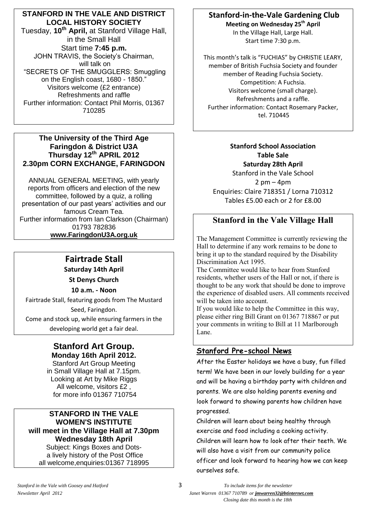### **STANFORD IN THE VALE AND DISTRICT LOCAL HISTORY SOCIETY**

Tuesday, **10th April,** at Stanford Village Hall, in the Small Hall Start time **7:45 p.m.** JOHN TRAVIS, the Society's Chairman, will talk on "SECRETS OF THE SMUGGLERS: Smuggling on the English coast, 1680 - 1850." Visitors welcome (£2 entrance) Refreshments and raffle Further information: Contact Phil Morris, 01367 710285

#### **The University of the Third Age Faringdon & District U3A Thursday 12th APRIL 2012 2.30pm CORN EXCHANGE, FARINGDON**

ANNUAL GENERAL MEETING, with yearly reports from officers and election of the new committee, followed by a quiz, a rolling presentation of our past years' activities and our famous Cream Tea. Further information from Ian Clarkson (Chairman) 01793 782836 **[www.FaringdonU3A.org.uk](http://www.faringdonu3a.org.uk/)**

# **Fairtrade Stall**

**Saturday 14th April**

**St Denys Church**

**10 a.m. - Noon**

Fairtrade Stall, featuring goods from The Mustard Seed, Faringdon. Come and stock up, while ensuring farmers in the developing world get a fair deal.

### **Stanford Art Group. Monday 16th April 2012.**

Stanford Art Group Meeting in Small Village Hall at 7.15pm. Looking at Art by Mike Riggs All welcome, visitors £2 , for more info 01367 710754

#### **STANFORD IN THE VALE WOMEN'S INSTITUTE will meet in the Village Hall at 7.30pm Wednesday 18th April** Subject: Kings Boxes and Dots-

a lively history of the Post Office all welcome,enquiries:01367 718995

# **Stanford-in-the-Vale Gardening Club**

**Meeting on Wednesday 25th April** In the Village Hall, Large Hall. Start time 7:30 p.m.

This month's talk is "FUCHIAS" by CHRISTIE LEARY, member of British Fuchsia Society and founder member of Reading Fuchsia Society. Competition: A Fuchsia. Visitors welcome (small charge). Refreshments and a raffle. Further information: Contact Rosemary Packer, tel. 710445

**Stanford School Association Table Sale Saturday 28th April** Stanford in the Vale School  $2 \text{ pm} - 4 \text{ pm}$ Enquiries: Claire 718351 / Lorna 710312 Tables £5.00 each or 2 for £8.00

# **Stanford in the Vale Village Hall**

The Management Committee is currently reviewing the Hall to determine if any work remains to be done to bring it up to the standard required by the Disability Discrimination Act 1995.

The Committee would like to hear from Stanford residents, whether users of the Hall or not, if there is thought to be any work that should be done to improve the experience of disabled users. All comments received will be taken into account.

If you would like to help the Committee in this way, please either ring Bill Grant on 01367 718867 or put your comments in writing to Bill at 11 Marlborough Lane.

### **Stanford Pre-school News**

After the Easter holidays we have a busy, fun filled term! We have been in our lovely building for a year and will be having a birthday party with children and parents. We are also holding parents evening and look forward to showing parents how children have progressed.

Children will learn about being healthy through exercise and food including a cooking activity. Children will learn how to look after their teeth. We will also have a visit from our community police officer and look forward to hearing how we can keep ourselves safe.